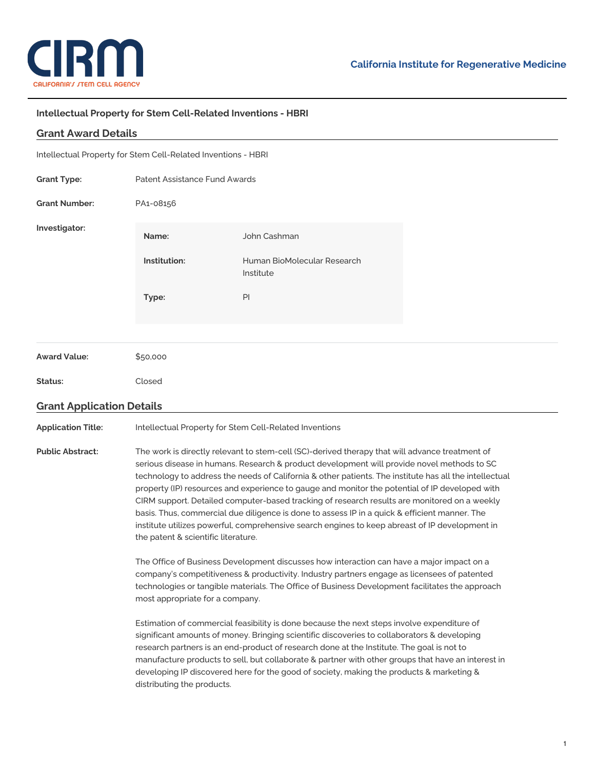

## **Intellectual Property for Stem Cell-Related Inventions - HBRI**

## **Grant Award Details**

| <b>Grant Type:</b>   | Patent Assistance Fund Awards |                                          |  |
|----------------------|-------------------------------|------------------------------------------|--|
| <b>Grant Number:</b> | PA1-08156                     |                                          |  |
| Investigator:        | Name:                         | John Cashman                             |  |
|                      | Institution:                  | Human BioMolecular Research<br>Institute |  |
|                      | Type:                         | PI                                       |  |
|                      |                               |                                          |  |
| <b>Award Value:</b>  | \$50,000                      |                                          |  |
| Status:              | Closed                        |                                          |  |
|                      |                               |                                          |  |

## **Grant Application Details**

**Application Title:** Intellectual Property for Stem Cell-Related Inventions

**Public Abstract:** The work is directly relevant to stem-cell (SC)-derived therapy that will advance treatment of serious disease in humans. Research & product development will provide novel methods to SC technology to address the needs of California & other patients. The institute has all the intellectual property (IP) resources and experience to gauge and monitor the potential of IP developed with CIRM support. Detailed computer-based tracking of research results are monitored on a weekly basis. Thus, commercial due diligence is done to assess IP in a quick & efficient manner. The institute utilizes powerful, comprehensive search engines to keep abreast of IP development in the patent & scientific literature.

> The Office of Business Development discusses how interaction can have a major impact on a company's competitiveness & productivity. Industry partners engage as licensees of patented technologies or tangible materials. The Office of Business Development facilitates the approach most appropriate for a company.

Estimation of commercial feasibility is done because the next steps involve expenditure of significant amounts of money. Bringing scientific discoveries to collaborators & developing research partners is an end-product of research done at the Institute. The goal is not to manufacture products to sell, but collaborate & partner with other groups that have an interest in developing IP discovered here for the good of society, making the products & marketing & distributing the products.